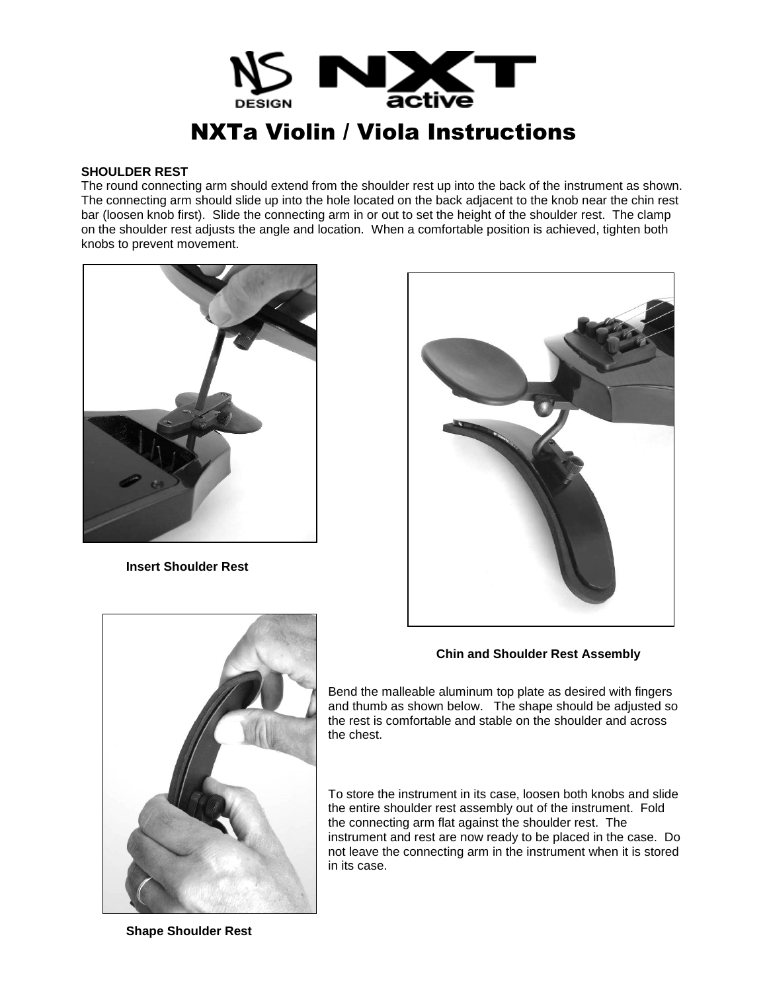

### **SHOULDER REST**

The round connecting arm should extend from the shoulder rest up into the back of the instrument as shown. The connecting arm should slide up into the hole located on the back adjacent to the knob near the chin rest bar (loosen knob first). Slide the connecting arm in or out to set the height of the shoulder rest. The clamp on the shoulder rest adjusts the angle and location. When a comfortable position is achieved, tighten both knobs to prevent movement.



**Insert Shoulder Rest**



# **Chin and Shoulder Rest Assembly**

Bend the malleable aluminum top plate as desired with fingers and thumb as shown below. The shape should be adjusted so the rest is comfortable and stable on the shoulder and across the chest.

To store the instrument in its case, loosen both knobs and slide the entire shoulder rest assembly out of the instrument. Fold the connecting arm flat against the shoulder rest. The instrument and rest are now ready to be placed in the case. Do not leave the connecting arm in the instrument when it is stored in its case.



**Shape Shoulder Rest**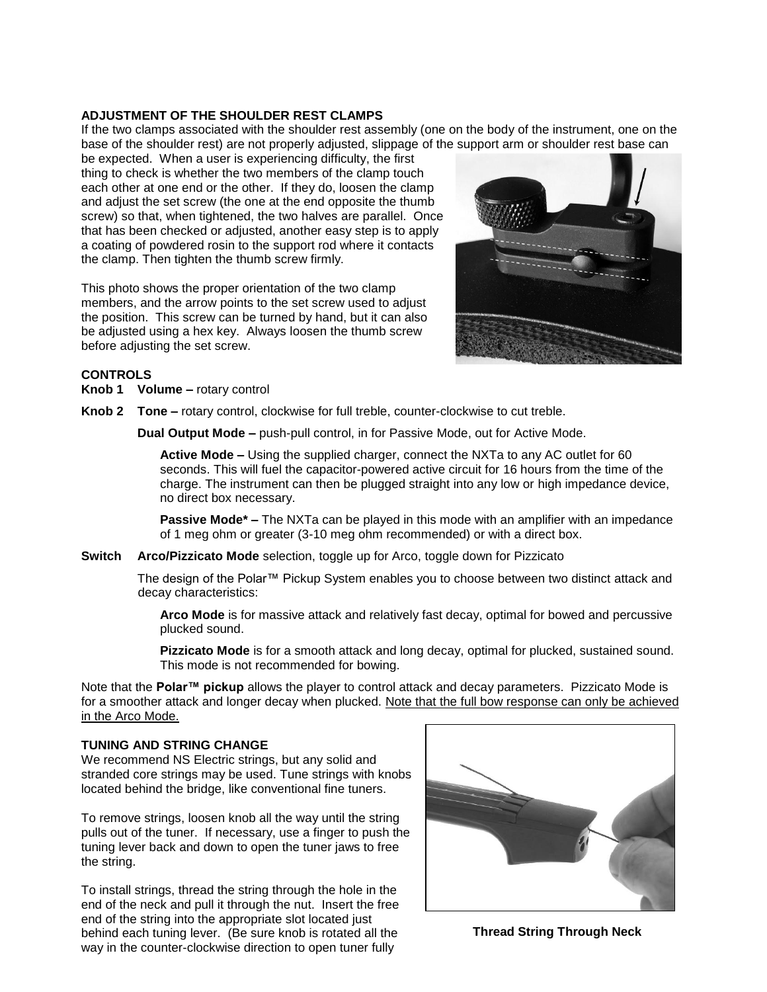### **ADJUSTMENT OF THE SHOULDER REST CLAMPS**

If the two clamps associated with the shoulder rest assembly (one on the body of the instrument, one on the base of the shoulder rest) are not properly adjusted, slippage of the support arm or shoulder rest base can

be expected. When a user is experiencing difficulty, the first thing to check is whether the two members of the clamp touch each other at one end or the other. If they do, loosen the clamp and adjust the set screw (the one at the end opposite the thumb screw) so that, when tightened, the two halves are parallel. Once that has been checked or adjusted, another easy step is to apply a coating of powdered rosin to the support rod where it contacts the clamp. Then tighten the thumb screw firmly.

This photo shows the proper orientation of the two clamp members, and the arrow points to the set screw used to adjust the position. This screw can be turned by hand, but it can also be adjusted using a hex key. Always loosen the thumb screw before adjusting the set screw.



# **CONTROLS**

**Knob 1 Volume** – rotary control

**Knob 2 Tone –** rotary control, clockwise for full treble, counter-clockwise to cut treble.

**Dual Output Mode –** push-pull control, in for Passive Mode, out for Active Mode.

**Active Mode –** Using the supplied charger, connect the NXTa to any AC outlet for 60 seconds. This will fuel the capacitor-powered active circuit for 16 hours from the time of the charge. The instrument can then be plugged straight into any low or high impedance device, no direct box necessary.

**Passive Mode\* –** The NXTa can be played in this mode with an amplifier with an impedance of 1 meg ohm or greater (3-10 meg ohm recommended) or with a direct box.

**Switch Arco/Pizzicato Mode** selection, toggle up for Arco, toggle down for Pizzicato

The design of the Polar™ Pickup System enables you to choose between two distinct attack and decay characteristics:

**Arco Mode** is for massive attack and relatively fast decay, optimal for bowed and percussive plucked sound.

**Pizzicato Mode** is for a smooth attack and long decay, optimal for plucked, sustained sound. This mode is not recommended for bowing.

Note that the **Polar™ pickup** allows the player to control attack and decay parameters. Pizzicato Mode is for a smoother attack and longer decay when plucked. Note that the full bow response can only be achieved in the Arco Mode.

## **TUNING AND STRING CHANGE**

We recommend NS Electric strings, but any solid and stranded core strings may be used. Tune strings with knobs located behind the bridge, like conventional fine tuners.

To remove strings, loosen knob all the way until the string pulls out of the tuner. If necessary, use a finger to push the tuning lever back and down to open the tuner jaws to free the string.

To install strings, thread the string through the hole in the end of the neck and pull it through the nut. Insert the free end of the string into the appropriate slot located just behind each tuning lever. (Be sure knob is rotated all the way in the counter-clockwise direction to open tuner fully



**Thread String Through Neck**